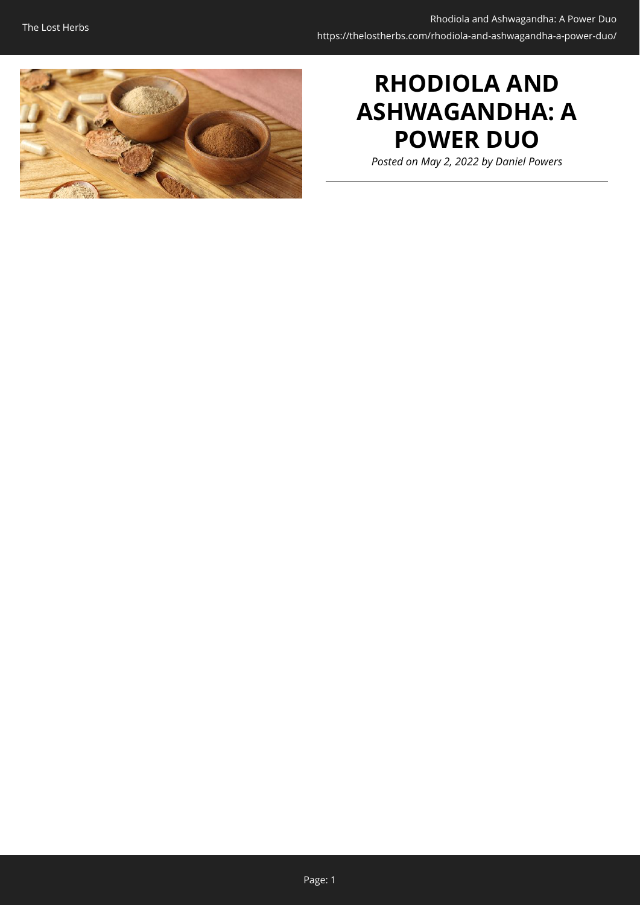

# **RHODIOLA AND ASHWAGANDHA: A POWER DUO**

*Posted on May 2, 2022 by Daniel Powers*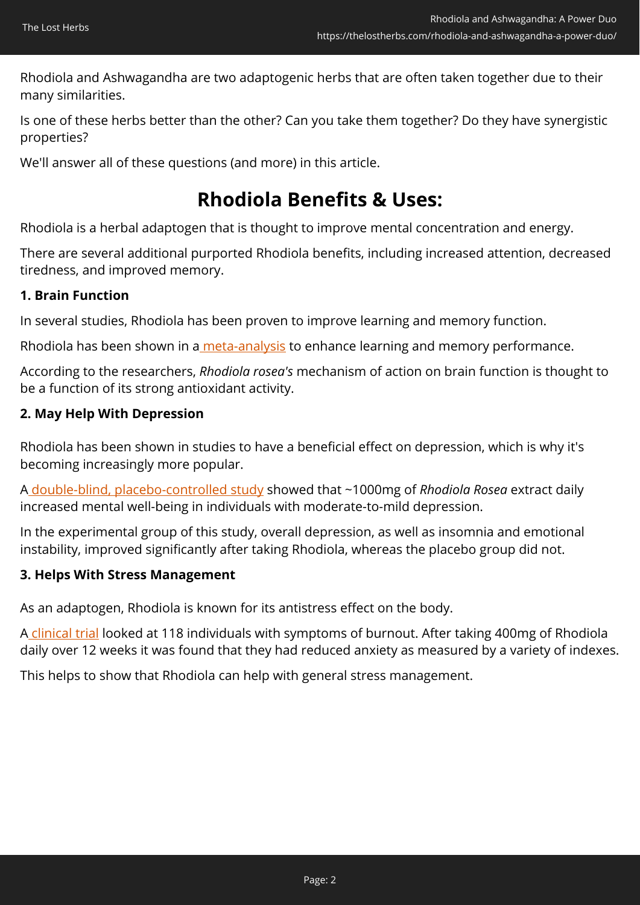Rhodiola and Ashwagandha are two adaptogenic herbs that are often taken together due to their many similarities.

Is one of these herbs better than the other? Can you take them together? Do they have synergistic properties?

We'll answer all of these questions (and more) in this article.

### **Rhodiola Benefits & Uses:**

Rhodiola is a herbal adaptogen that is thought to improve mental concentration and energy.

There are several additional purported Rhodiola benefits, including increased attention, decreased tiredness, and improved memory.

### **1. Brain Function**

In several studies, Rhodiola has been proven to improve learning and memory function.

Rhodiola has been shown in a [meta-analysis](https://www.frontiersin.org/articles/10.3389/fphar.2018.01415/full) to enhance learning and memory performance.

According to the researchers, *Rhodiola rosea's* mechanism of action on brain function is thought to be a function of its strong antioxidant activity.

### **2. May Help With Depression**

Rhodiola has been shown in studies to have a beneficial effect on depression, which is why it's becoming increasingly more popular.

[A double-blind, placebo-controlled study](https://pubmed.ncbi.nlm.nih.gov/17990195/) showed that ~1000mg of *Rhodiola Rosea* extract daily increased mental well-being in individuals with moderate-to-mild depression.

In the experimental group of this study, overall depression, as well as insomnia and emotional instability, improved significantly after taking Rhodiola, whereas the placebo group did not.

#### **3. Helps With Stress Management**

As an adaptogen, Rhodiola is known for its antistress effect on the body.

[A clinical trial](https://www.ncbi.nlm.nih.gov/pmc/articles/PMC5370380/) looked at 118 individuals with symptoms of burnout. After taking 400mg of Rhodiola daily over 12 weeks it was found that they had reduced anxiety as measured by a variety of indexes.

This helps to show that Rhodiola can help with general stress management.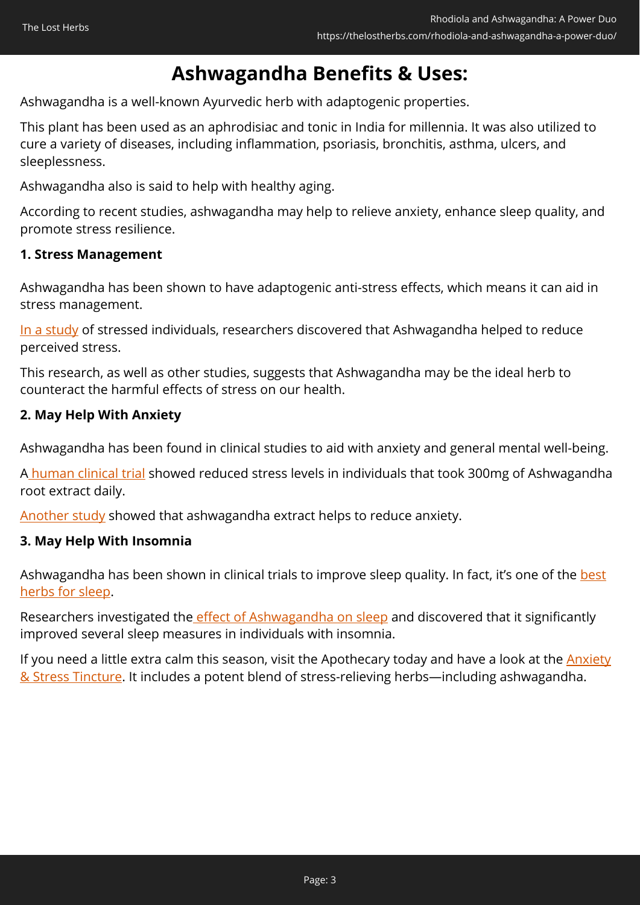### **Ashwagandha Benefits & Uses:**

Ashwagandha is a well-known Ayurvedic herb with adaptogenic properties.

This plant has been used as an aphrodisiac and tonic in India for millennia. It was also utilized to cure a variety of diseases, including inflammation, psoriasis, bronchitis, asthma, ulcers, and sleeplessness.

Ashwagandha also is said to help with healthy aging.

According to recent studies, ashwagandha may help to relieve anxiety, enhance sleep quality, and promote stress resilience.

#### **1. Stress Management**

Ashwagandha has been shown to have adaptogenic anti-stress effects, which means it can aid in stress management.

[In a study](https://www.cureus.com/articles/25730-adaptogenic-and-anxiolytic-effects-of-ashwagandha-root-extract-in-healthy-adults-a-double-blind-randomized-placebo-controlled-clinical-study) of stressed individuals, researchers discovered that Ashwagandha helped to reduce perceived stress.

This research, as well as other studies, suggests that Ashwagandha may be the ideal herb to counteract the harmful effects of stress on our health.

#### **2. May Help With Anxiety**

Ashwagandha has been found in clinical studies to aid with anxiety and general mental well-being.

[A human clinical trial](https://journals.sagepub.com/doi/10.4103/0253-7176.106022) showed reduced stress levels in individuals that took 300mg of Ashwagandha root extract daily.

[Another study](https://journals.lww.com/md-journal/Fulltext/2019/09130/An_investigation_into_the_stress_relieving_and.67.aspx) showed that ashwagandha extract helps to reduce anxiety.

#### **3. May Help With Insomnia**

Ashwagandha has been shown in clinical trials to improve sleep quality. In fact, it's one of the [best](https://botanicalinstitute.org/best-herbs-for-sleep/) [herbs for sleep.](https://botanicalinstitute.org/best-herbs-for-sleep/)

Researchers investigated the [effect of Ashwagandha on sleep](https://www.cureus.com/articles/22928-efficacy-and-safety-of-ashwagandha-withania-somnifera-root-extract-in-insomnia-and-anxiety-a-double-blind-randomized-placebo-controlled-study) and discovered that it significantly improved several sleep measures in individuals with insomnia.

If you need a little extra calm this season, visit the Apothecary today and have a look at the **Anxiety** [& Stress Tincture.](https://nicolesapothecary.com/collections/all/products/anxiety-stress-tincture?rfsn=5642246.05c3d29&utm_source=refersion&utm_medium=affiliate&utm_campaign=5642246.05c3d29&subid=C02Ash) It includes a potent blend of stress-relieving herbs—including ashwagandha.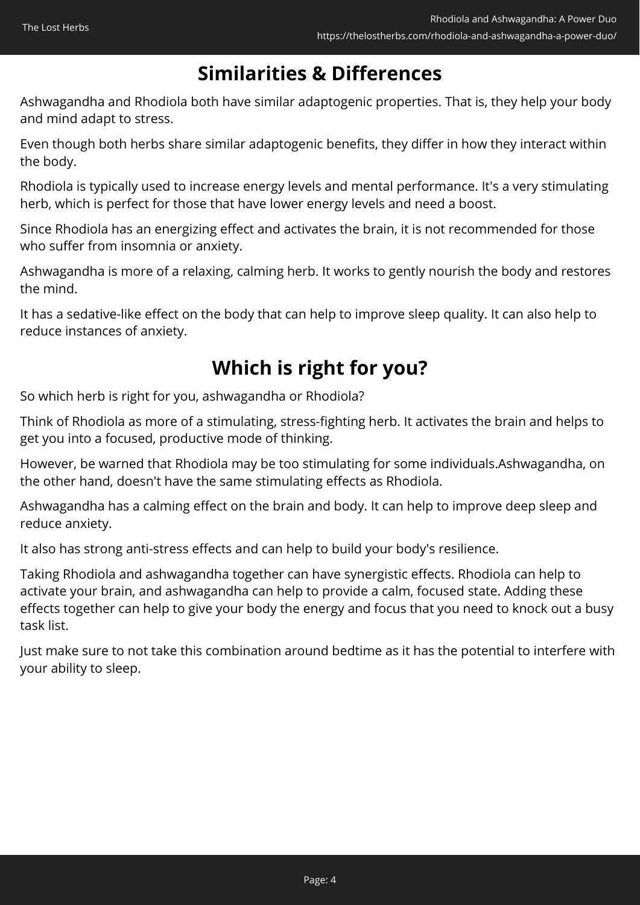## **Similarities & Differences**

Ashwagandha and Rhodiola both have similar adaptogenic properties. That is, they help your body and mind adapt to stress.

Even though both herbs share similar adaptogenic benefits, they differ in how they interact within the body.

Rhodiola is typically used to increase energy levels and mental performance. It's a very stimulating herb, which is perfect for those that have lower energy levels and need a boost.

Since Rhodiola has an energizing effect and activates the brain, it is not recommended for those who suffer from insomnia or anxiety.

Ashwagandha is more of a relaxing, calming herb. It works to gently nourish the body and restores the mind.

It has a sedative-like effect on the body that can help to improve sleep quality. It can also help to reduce instances of anxiety.

## **Which is right for you?**

So which herb is right for you, ashwagandha or Rhodiola?

Think of Rhodiola as more of a stimulating, stress-fighting herb. It activates the brain and helps to get you into a focused, productive mode of thinking.

However, be warned that Rhodiola may be too stimulating for some individuals.Ashwagandha, on the other hand, doesn't have the same stimulating effects as Rhodiola.

Ashwagandha has a calming effect on the brain and body. It can help to improve deep sleep and reduce anxiety.

It also has strong anti-stress effects and can help to build your body's resilience.

Taking Rhodiola and ashwagandha together can have synergistic effects. Rhodiola can help to activate your brain, and ashwagandha can help to provide a calm, focused state. Adding these effects together can help to give your body the energy and focus that you need to knock out a busy task list.

Just make sure to not take this combination around bedtime as it has the potential to interfere with your ability to sleep.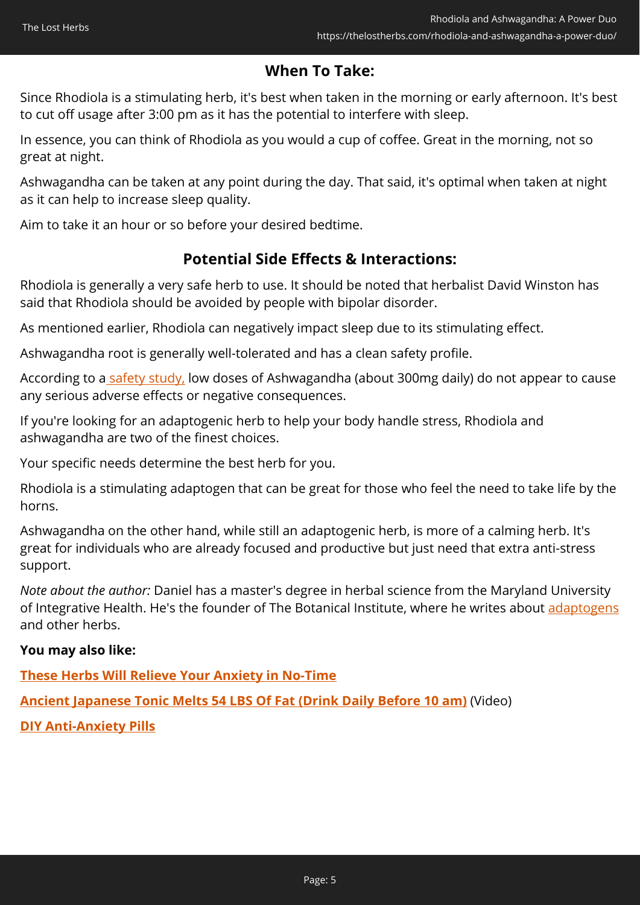### **When To Take:**

Since Rhodiola is a stimulating herb, it's best when taken in the morning or early afternoon. It's best to cut off usage after 3:00 pm as it has the potential to interfere with sleep.

In essence, you can think of Rhodiola as you would a cup of coffee. Great in the morning, not so great at night.

Ashwagandha can be taken at any point during the day. That said, it's optimal when taken at night as it can help to increase sleep quality.

Aim to take it an hour or so before your desired bedtime.

### **Potential Side Effects & Interactions:**

Rhodiola is generally a very safe herb to use. It should be noted that herbalist David Winston has said that Rhodiola should be avoided by people with bipolar disorder.

As mentioned earlier, Rhodiola can negatively impact sleep due to its stimulating effect.

Ashwagandha root is generally well-tolerated and has a clean safety profile.

According to a [safety study,](https://www.sciencedirect.com/science/article/pii/S0965229920319099?via%3Dihub) low doses of Ashwagandha (about 300mg daily) do not appear to cause any serious adverse effects or negative consequences.

If you're looking for an adaptogenic herb to help your body handle stress, Rhodiola and ashwagandha are two of the finest choices.

Your specific needs determine the best herb for you.

Rhodiola is a stimulating adaptogen that can be great for those who feel the need to take life by the horns.

Ashwagandha on the other hand, while still an adaptogenic herb, is more of a calming herb. It's great for individuals who are already focused and productive but just need that extra anti-stress support.

*Note about the author:* Daniel has a master's degree in herbal science from the Maryland University of Integrative Health. He's the founder of The Botanical Institute, where he writes about [adaptogens](https://botanicalinstitute.org/adaptogens/) and other herbs.

#### **You may also like:**

**[These Herbs Will Relieve Your Anxiety in No-Time](https://thelostherbs.com/these-herbs-will-relieve-your-anxiety-in-no-time/)**

**[Ancient Japanese Tonic Melts 54 LBS Of Fat \(Drink Daily Before 10 am\)](https://hop.clickbank.net/?affiliate=easycellar&vendor=fbtonic&tid=C02RhodiolaAshFBT)** (Video)

**[DIY Anti-Anxiety Pills](https://thelostherbs.com/diy-anti-anxiety-pills/)**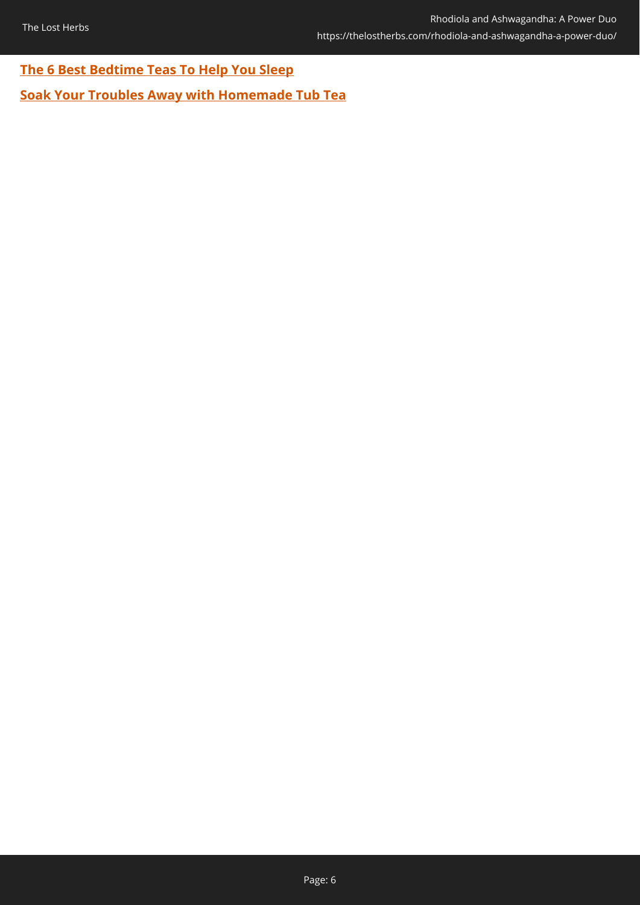### **[The 6 Best Bedtime Teas To Help You Sleep](https://thelostherbs.com/the-6-best-bedtime-teas-to-help-you-sleep/)**

**[Soak Your Troubles Away with Homemade Tub Tea](https://thelostherbs.com/soak-your-troubles-away-with-homemade-tub-tea/)**